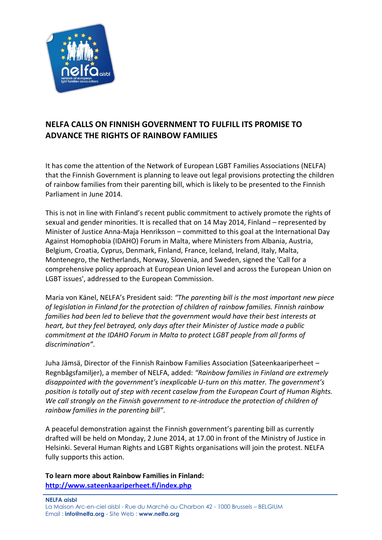

## **NELFA CALLS ON FINNISH GOVERNMENT TO FULFILL ITS PROMISE TO ADVANCE THE RIGHTS OF RAINBOW FAMILIES**

It has come the attention of the Network of European LGBT Families Associations (NELFA) that the Finnish Government is planning to leave out legal provisions protecting the children of rainbow families from their parenting bill, which is likely to be presented to the Finnish Parliament in June 2014.

This is not in line with Finland's recent public commitment to actively promote the rights of sexual and gender minorities. It is recalled that on 14 May 2014, Finland – represented by Minister of Justice Anna-Maja Henriksson – committed to this goal at the International Day Against Homophobia (IDAHO) Forum in Malta, where Ministers from Albania, Austria, Belgium, Croatia, Cyprus, Denmark, Finland, France, Iceland, Ireland, Italy, Malta, Montenegro, the Netherlands, Norway, Slovenia, and Sweden, signed the 'Call for a comprehensive policy approach at European Union level and across the European Union on LGBT issues', addressed to the European Commission.

Maria von Känel, NELFA's President said: *"The parenting bill is the most important new piece of legislation in Finland for the protection of children of rainbow families. Finnish rainbow families had been led to believe that the government would have their best interests at heart, but they feel betrayed, only days after their Minister of Justice made a public commitment at the IDAHO Forum in Malta to protect LGBT people from all forms of discrimination"*.

Juha Jämsä, Director of the Finnish Rainbow Families Association (Sateenkaariperheet – Regnbågsfamiljer), a member of NELFA, added: *"Rainbow families in Finland are extremely disappointed with the government's inexplicable U-turn on this matter. The government's position is totally out of step with recent caselaw from the European Court of Human Rights. We call strongly on the Finnish government to re-introduce the protection of children of rainbow families in the parenting bill"*.

A peaceful demonstration against the Finnish government's parenting bill as currently drafted will be held on Monday, 2 June 2014, at 17.00 in front of the Ministry of Justice in Helsinki. Several Human Rights and LGBT Rights organisations will join the protest. NELFA fully supports this action.

**To learn more about Rainbow Families in Finland: <http://www.sateenkaariperheet.fi/index.php>**